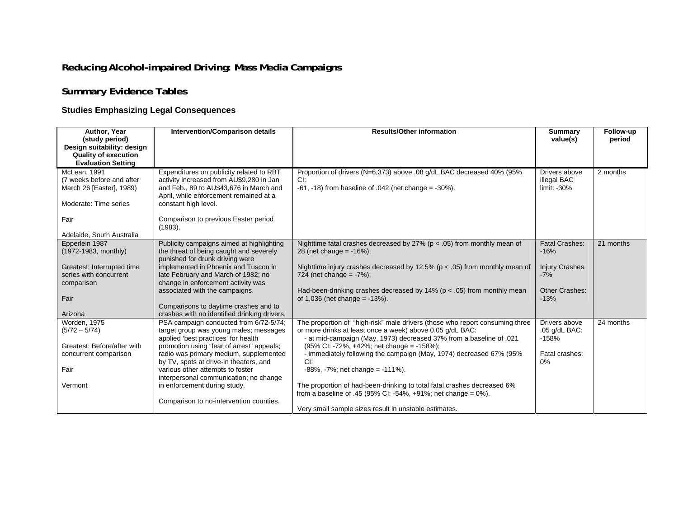## **Reducing Alcohol-impaired Driving: Mass Media Campaigns**

## **Summary Evidence Tables**

## **Studies Emphasizing Legal Consequences**

| Author, Year<br>(study period)                                                                 | <b>Intervention/Comparison details</b>                                                                                                                                                            | <b>Results/Other information</b>                                                                                                                 | <b>Summary</b><br>value(s)                    | Follow-up<br>period |
|------------------------------------------------------------------------------------------------|---------------------------------------------------------------------------------------------------------------------------------------------------------------------------------------------------|--------------------------------------------------------------------------------------------------------------------------------------------------|-----------------------------------------------|---------------------|
| Design suitability: design<br><b>Quality of execution</b>                                      |                                                                                                                                                                                                   |                                                                                                                                                  |                                               |                     |
| <b>Evaluation Setting</b>                                                                      |                                                                                                                                                                                                   |                                                                                                                                                  |                                               |                     |
| McLean, 1991<br>(7 weeks before and after<br>March 26 [Easter], 1989)<br>Moderate: Time series | Expenditures on publicity related to RBT<br>activity increased from AU\$9,280 in Jan<br>and Feb., 89 to AU\$43,676 in March and<br>April, while enforcement remained at a<br>constant high level. | Proportion of drivers (N=6,373) above .08 g/dL BAC decreased 40% (95%<br>CI:<br>$-61$ , $-18$ ) from baseline of $.042$ (net change = $-30\%$ ). | Drivers above<br>illegal BAC<br>$limit: -30%$ | 2 months            |
| Fair<br>Adelaide, South Australia                                                              | Comparison to previous Easter period<br>(1983).                                                                                                                                                   |                                                                                                                                                  |                                               |                     |
| Epperlein 1987                                                                                 | Publicity campaigns aimed at highlighting                                                                                                                                                         | Nighttime fatal crashes decreased by 27% ( $p < .05$ ) from monthly mean of                                                                      | <b>Fatal Crashes:</b>                         | 21 months           |
| (1972-1983, monthly)                                                                           | the threat of being caught and severely<br>punished for drunk driving were                                                                                                                        | 28 (net change = $-16\%$ );                                                                                                                      | $-16%$                                        |                     |
| Greatest: Interrupted time                                                                     | implemented in Phoenix and Tuscon in                                                                                                                                                              | Nighttime injury crashes decreased by 12.5% ( $p < .05$ ) from monthly mean of                                                                   | Injury Crashes:                               |                     |
| series with concurrent                                                                         | late February and March of 1982; no                                                                                                                                                               | 724 (net change = $-7\%$ );                                                                                                                      | $-7%$                                         |                     |
| comparison                                                                                     | change in enforcement activity was<br>associated with the campaigns.                                                                                                                              | Had-been-drinking crashes decreased by 14% ( $p < .05$ ) from monthly mean                                                                       | Other Crashes:                                |                     |
| Fair                                                                                           |                                                                                                                                                                                                   | of $1,036$ (net change = $-13%$ ).                                                                                                               | $-13%$                                        |                     |
|                                                                                                | Comparisons to daytime crashes and to                                                                                                                                                             |                                                                                                                                                  |                                               |                     |
| Arizona                                                                                        | crashes with no identified drinking drivers.                                                                                                                                                      |                                                                                                                                                  |                                               |                     |
| <b>Worden, 1975</b><br>$(5/72 - 5/74)$                                                         | PSA campaign conducted from 6/72-5/74;<br>target group was young males; messages                                                                                                                  | The proportion of "high-risk" male drivers (those who report consuming three<br>or more drinks at least once a week) above 0.05 g/dL BAC:        | Drivers above<br>$.05$ g/dL BAC:              | 24 months           |
|                                                                                                | applied 'best practices' for health                                                                                                                                                               | - at mid-campaign (May, 1973) decreased 37% from a baseline of .021                                                                              | $-158%$                                       |                     |
| Greatest: Before/after with                                                                    | promotion using "fear of arrest" appeals;                                                                                                                                                         | (95% CI: -72%, +42%; net change = -158%);                                                                                                        |                                               |                     |
| concurrent comparison                                                                          | radio was primary medium, supplemented                                                                                                                                                            | - immediately following the campaign (May, 1974) decreased 67% (95%                                                                              | Fatal crashes:                                |                     |
|                                                                                                | by TV, spots at drive-in theaters, and                                                                                                                                                            | CI.                                                                                                                                              | $0\%$                                         |                     |
| Fair                                                                                           | various other attempts to foster<br>interpersonal communication; no change                                                                                                                        | $-88\%$ , $-7\%$ ; net change = $-111\%$ ).                                                                                                      |                                               |                     |
| Vermont                                                                                        | in enforcement during study.                                                                                                                                                                      | The proportion of had-been-drinking to total fatal crashes decreased 6%                                                                          |                                               |                     |
|                                                                                                |                                                                                                                                                                                                   | from a baseline of .45 (95% CI: -54%, +91%; net change = $0\%$ ).                                                                                |                                               |                     |
|                                                                                                | Comparison to no-intervention counties.                                                                                                                                                           |                                                                                                                                                  |                                               |                     |
|                                                                                                |                                                                                                                                                                                                   | Very small sample sizes result in unstable estimates.                                                                                            |                                               |                     |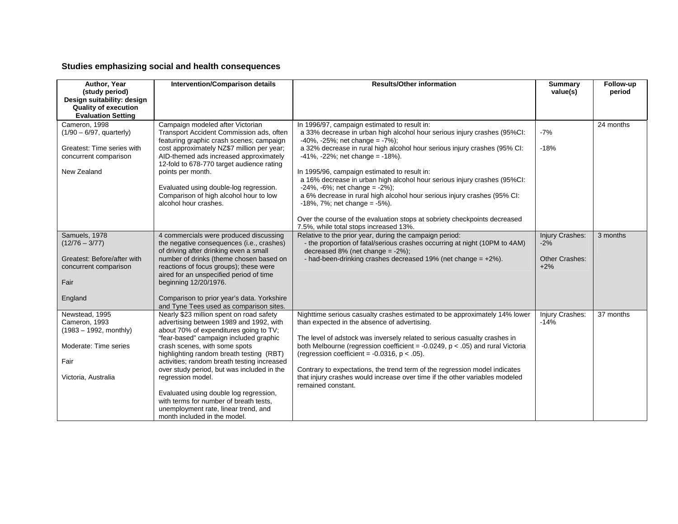## **Studies emphasizing social and health consequences**

| Author, Year<br>(study period)                                                         | Intervention/Comparison details                                                                                                                                         | <b>Results/Other information</b>                                                                                                                                                                        | <b>Summary</b><br>value(s)     | Follow-up<br>period |
|----------------------------------------------------------------------------------------|-------------------------------------------------------------------------------------------------------------------------------------------------------------------------|---------------------------------------------------------------------------------------------------------------------------------------------------------------------------------------------------------|--------------------------------|---------------------|
| Design suitability: design<br><b>Quality of execution</b><br><b>Evaluation Setting</b> |                                                                                                                                                                         |                                                                                                                                                                                                         |                                |                     |
| Cameron, 1998<br>$(1/90 - 6/97,$ quarterly)                                            | Campaign modeled after Victorian<br>Transport Accident Commission ads, often<br>featuring graphic crash scenes; campaign                                                | In 1996/97, campaign estimated to result in:<br>a 33% decrease in urban high alcohol hour serious injury crashes (95%CI:<br>$-40\%$ , $-25\%$ ; net change = $-7\%$ );                                  | $-7%$                          | 24 months           |
| Greatest: Time series with<br>concurrent comparison                                    | cost approximately NZ\$7 million per year;<br>AID-themed ads increased approximately<br>12-fold to 678-770 target audience rating                                       | a 32% decrease in rural high alcohol hour serious injury crashes (95% CI:<br>$-41\%$ , $-22\%$ ; net change = $-18\%$ ).                                                                                | $-18%$                         |                     |
| New Zealand                                                                            | points per month.                                                                                                                                                       | In 1995/96, campaign estimated to result in:<br>a 16% decrease in urban high alcohol hour serious injury crashes (95%CI:                                                                                |                                |                     |
|                                                                                        | Evaluated using double-log regression.<br>Comparison of high alcohol hour to low<br>alcohol hour crashes.                                                               | $-24\%$ , $-6\%$ ; net change = $-2\%$ );<br>a 6% decrease in rural high alcohol hour serious injury crashes (95% CI:<br>$-18\%$ , 7%; net change = $-5\%$ ).                                           |                                |                     |
|                                                                                        |                                                                                                                                                                         | Over the course of the evaluation stops at sobriety checkpoints decreased<br>7.5%, while total stops increased 13%.                                                                                     |                                |                     |
| Samuels, 1978<br>$(12/76 - 3/77)$                                                      | 4 commercials were produced discussing<br>the negative consequences (i.e., crashes)<br>of driving after drinking even a small                                           | Relative to the prior year, during the campaign period:<br>- the proportion of fatal/serious crashes occurring at night (10PM to 4AM)<br>decreased $8\%$ (net change = $-2\%$ );                        | Injury Crashes:<br>$-2%$       | 3 months            |
| Greatest: Before/after with<br>concurrent comparison                                   | number of drinks (theme chosen based on<br>reactions of focus groups); these were<br>aired for an unspecified period of time                                            | - had-been-drinking crashes decreased 19% (net change $= +2\%$ ).                                                                                                                                       | <b>Other Crashes:</b><br>$+2%$ |                     |
| Fair                                                                                   | beginning 12/20/1976.                                                                                                                                                   |                                                                                                                                                                                                         |                                |                     |
| England                                                                                | Comparison to prior year's data. Yorkshire<br>and Tyne Tees used as comparison sites.                                                                                   |                                                                                                                                                                                                         |                                |                     |
| Newstead, 1995<br>Cameron, 1993<br>$(1983 - 1992, monthly)$                            | Nearly \$23 million spent on road safety<br>advertising between 1989 and 1992, with<br>about 70% of expenditures going to TV;<br>"fear-based" campaign included graphic | Nighttime serious casualty crashes estimated to be approximately 14% lower<br>than expected in the absence of advertising.<br>The level of adstock was inversely related to serious casualty crashes in | Injury Crashes:<br>$-14%$      | 37 months           |
| Moderate: Time series                                                                  | crash scenes, with some spots<br>highlighting random breath testing (RBT)                                                                                               | both Melbourne (regression coefficient = $-0.0249$ , $p < .05$ ) and rural Victoria<br>(regression coefficient = $-0.0316$ , p < .05).                                                                  |                                |                     |
| Fair                                                                                   | activities; random breath testing increased<br>over study period, but was included in the                                                                               | Contrary to expectations, the trend term of the regression model indicates                                                                                                                              |                                |                     |
| Victoria, Australia                                                                    | regression model.                                                                                                                                                       | that injury crashes would increase over time if the other variables modeled<br>remained constant.                                                                                                       |                                |                     |
|                                                                                        | Evaluated using double log regression,<br>with terms for number of breath tests.<br>unemployment rate, linear trend, and<br>month included in the model.                |                                                                                                                                                                                                         |                                |                     |